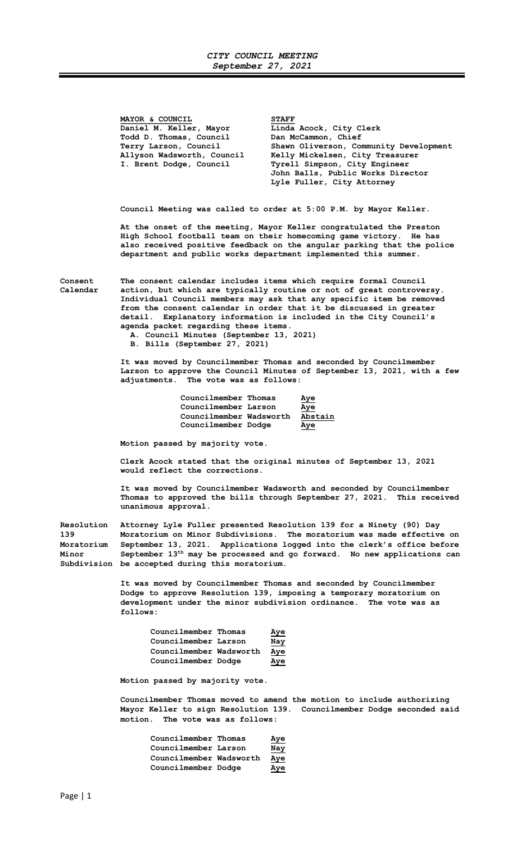## CITY COUNCIL MEETING September 27, 2021

MAYOR & COUNCIL<br>Daniel M. Keller, Mayor Linda Linda Acock, City Clerk<br>Dan McCammon, Chief Todd D. Thomas, Council<br>Terry Larson, Council Terry Larson, Council Shawn Oliverson, Community Development<br>Allyson Wadsworth, Council Kelly Mickelsen, City Treasurer Kelly Mickelsen, City Treasurer I. Brent Dodge, Council Tyrell Simpson, City Engineer John Balls, Public Works Director Lyle Fuller, City Attorney Council Meeting was called to order at 5:00 P.M. by Mayor Keller.

 At the onset of the meeting, Mayor Keller congratulated the Preston High School football team on their homecoming game victory. He has also received positive feedback on the angular parking that the police department and public works department implemented this summer.

Consent The consent calendar includes items which require formal Council Calendar action, but which are typically routine or not of great controversy. Individual Council members may ask that any specific item be removed from the consent calendar in order that it be discussed in greater detail. Explanatory information is included in the City Council's agenda packet regarding these items.

A. Council Minutes (September 13, 2021)

B. Bills (September 27, 2021)

 It was moved by Councilmember Thomas and seconded by Councilmember Larson to approve the Council Minutes of September 13, 2021, with a few adjustments. The vote was as follows:

| Councilmember Thomas    | Aye     |
|-------------------------|---------|
| Councilmember Larson    | Aye     |
| Councilmember Wadsworth | Abstain |
| Councilmember Dodge     | Aye     |

Motion passed by majority vote.

Clerk Acock stated that the original minutes of September 13, 2021 would reflect the corrections.

It was moved by Councilmember Wadsworth and seconded by Councilmember Thomas to approved the bills through September 27, 2021. This received unanimous approval.

Resolution Attorney Lyle Fuller presented Resolution 139 for a Ninety (90) Day 139 Moratorium on Minor Subdivisions. The moratorium was made effective on Moratorium September 13, 2021. Applications logged into the clerk's office before<br>Minor September 13<sup>th</sup> may be processed and go forward. No new applications can September 13<sup>th</sup> may be processed and go forward. No new applications can Subdivision be accepted during this moratorium.

> It was moved by Councilmember Thomas and seconded by Councilmember Dodge to approve Resolution 139, imposing a temporary moratorium on development under the minor subdivision ordinance. The vote was as follows:

| Councilmember Thomas    | Aye |
|-------------------------|-----|
| Councilmember Larson    | Nay |
| Councilmember Wadsworth | Aye |
| Councilmember Dodge     | Aye |

Motion passed by majority vote.

Councilmember Thomas moved to amend the motion to include authorizing Mayor Keller to sign Resolution 139. Councilmember Dodge seconded said motion. The vote was as follows:

| Councilmember Thomas    | <u>Aye</u> |
|-------------------------|------------|
| Councilmember Larson    | <u>Nay</u> |
| Councilmember Wadsworth | <u>Aye</u> |
| Councilmember Dodge     | Aye        |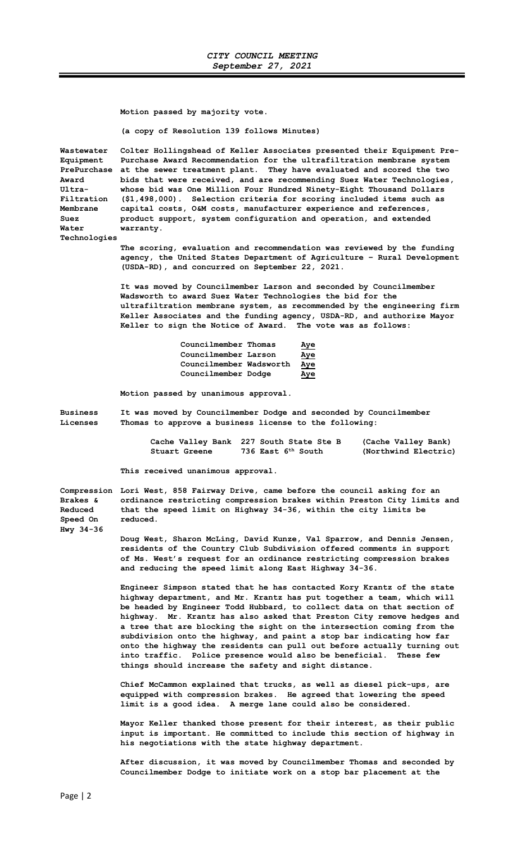Motion passed by majority vote.

(a copy of Resolution 139 follows Minutes)

Wastewater Colter Hollingshead of Keller Associates presented their Equipment Pre-Equipment Purchase Award Recommendation for the ultrafiltration membrane system PrePurchase at the sewer treatment plant. They have evaluated and scored the two Award bids that were received, and are recommending Suez Water Technologies, Ultra- whose bid was One Million Four Hundred Ninety-Eight Thousand Dollars Filtration (\$1,498,000). Selection criteria for scoring included items such as Membrane capital costs, O&M costs, manufacturer experience and references, Suez product support, system configuration and operation, and extended Water warranty.

Technologies

The scoring, evaluation and recommendation was reviewed by the funding agency, the United States Department of Agriculture – Rural Development (USDA-RD), and concurred on September 22, 2021.

It was moved by Councilmember Larson and seconded by Councilmember Wadsworth to award Suez Water Technologies the bid for the ultrafiltration membrane system, as recommended by the engineering firm Keller Associates and the funding agency, USDA-RD, and authorize Mayor Keller to sign the Notice of Award. The vote was as follows:

| Councilmember Thomas    | Aye        |
|-------------------------|------------|
| Councilmember Larson    | Aye        |
| Councilmember Wadsworth | <u>Aye</u> |
| Councilmember Dodge     | Aye        |

Motion passed by unanimous approval.

Business It was moved by Councilmember Dodge and seconded by Councilmember Licenses Thomas to approve a business license to the following:

> Cache Valley Bank 227 South State Ste B (Cache Valley Bank) Stuart Greene 736 East 6<sup>th</sup> South (Northwind Electric)

This received unanimous approval.

Compression Lori West, 858 Fairway Drive, came before the council asking for an Brakes & ordinance restricting compression brakes within Preston City limits and Reduced that the speed limit on Highway 34-36, within the city limits be Speed On reduced. Hwy 34-36

Doug West, Sharon McLing, David Kunze, Val Sparrow, and Dennis Jensen, residents of the Country Club Subdivision offered comments in support of Ms. West's request for an ordinance restricting compression brakes and reducing the speed limit along East Highway 34-36.

Engineer Simpson stated that he has contacted Kory Krantz of the state highway department, and Mr. Krantz has put together a team, which will be headed by Engineer Todd Hubbard, to collect data on that section of highway. Mr. Krantz has also asked that Preston City remove hedges and a tree that are blocking the sight on the intersection coming from the subdivision onto the highway, and paint a stop bar indicating how far onto the highway the residents can pull out before actually turning out into traffic. Police presence would also be beneficial. These few things should increase the safety and sight distance.

Chief McCammon explained that trucks, as well as diesel pick-ups, are equipped with compression brakes. He agreed that lowering the speed limit is a good idea. A merge lane could also be considered.

Mayor Keller thanked those present for their interest, as their public input is important. He committed to include this section of highway in his negotiations with the state highway department.

After discussion, it was moved by Councilmember Thomas and seconded by Councilmember Dodge to initiate work on a stop bar placement at the